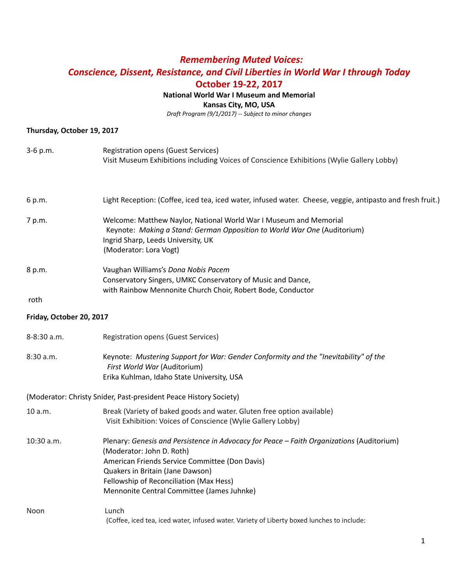# *Remembering Muted Voices: Conscience, Dissent, Resistance, and Civil Liberties in World War I through Today* **October 19-22, 2017**

# **National World War I Museum and Memorial**

**Kansas City, MO, USA**

*Draft Program (9/1/2017) -- Subject to minor changes*

# **Thursday, October 19, 2017**

| 3-6 p.m.                 | <b>Registration opens (Guest Services)</b><br>Visit Museum Exhibitions including Voices of Conscience Exhibitions (Wylie Gallery Lobby)                                                                                                                                                               |
|--------------------------|-------------------------------------------------------------------------------------------------------------------------------------------------------------------------------------------------------------------------------------------------------------------------------------------------------|
| 6 p.m.                   | Light Reception: (Coffee, iced tea, iced water, infused water. Cheese, veggie, antipasto and fresh fruit.)                                                                                                                                                                                            |
| 7 p.m.                   | Welcome: Matthew Naylor, National World War I Museum and Memorial<br>Keynote: Making a Stand: German Opposition to World War One (Auditorium)<br>Ingrid Sharp, Leeds University, UK<br>(Moderator: Lora Vogt)                                                                                         |
| 8 p.m.<br>roth           | Vaughan Williams's Dona Nobis Pacem<br>Conservatory Singers, UMKC Conservatory of Music and Dance,<br>with Rainbow Mennonite Church Choir, Robert Bode, Conductor                                                                                                                                     |
| Friday, October 20, 2017 |                                                                                                                                                                                                                                                                                                       |
| 8-8:30 a.m.              | <b>Registration opens (Guest Services)</b>                                                                                                                                                                                                                                                            |
| 8:30 a.m.                | Keynote: Mustering Support for War: Gender Conformity and the "Inevitability" of the<br>First World War (Auditorium)<br>Erika Kuhlman, Idaho State University, USA                                                                                                                                    |
|                          | (Moderator: Christy Snider, Past-president Peace History Society)                                                                                                                                                                                                                                     |
| 10 a.m.                  | Break (Variety of baked goods and water. Gluten free option available)<br>Visit Exhibition: Voices of Conscience (Wylie Gallery Lobby)                                                                                                                                                                |
| 10:30 a.m.               | Plenary: Genesis and Persistence in Advocacy for Peace - Faith Organizations (Auditorium)<br>(Moderator: John D. Roth)<br>American Friends Service Committee (Don Davis)<br>Quakers in Britain (Jane Dawson)<br>Fellowship of Reconciliation (Max Hess)<br>Mennonite Central Committee (James Juhnke) |
| Noon                     | Lunch<br>(Coffee, iced tea, iced water, infused water. Variety of Liberty boxed lunches to include:                                                                                                                                                                                                   |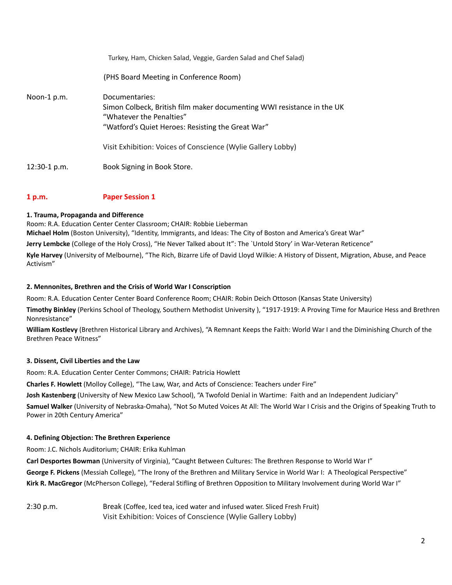|              | Turkey, Ham, Chicken Salad, Veggie, Garden Salad and Chef Salad)                                                                                                                                                                          |
|--------------|-------------------------------------------------------------------------------------------------------------------------------------------------------------------------------------------------------------------------------------------|
|              | (PHS Board Meeting in Conference Room)                                                                                                                                                                                                    |
| Noon-1 p.m.  | Documentaries:<br>Simon Colbeck, British film maker documenting WWI resistance in the UK<br>"Whatever the Penalties"<br>"Watford's Quiet Heroes: Resisting the Great War"<br>Visit Exhibition: Voices of Conscience (Wylie Gallery Lobby) |
| 12:30-1 p.m. | Book Signing in Book Store.                                                                                                                                                                                                               |

# **1 p.m. Paper Session 1**

# **1. Trauma, Propaganda and Difference**

Room: R.A. Education Center Center Classroom; CHAIR: Robbie Lieberman **Michael Holm** (Boston University), "Identity, Immigrants, and Ideas: The City of Boston and America's Great War" **Jerry Lembcke** (College of the Holy Cross), "He Never Talked about It": The `Untold Story' in War-Veteran Reticence"

**Kyle Harvey** (University of Melbourne), "The Rich, Bizarre Life of David Lloyd Wilkie: A History of Dissent, Migration, Abuse, and Peace Activism"

# **2. Mennonites, Brethren and the Crisis of World War I Conscription**

Room: R.A. Education Center Center Board Conference Room; CHAIR: Robin Deich Ottoson (Kansas State University)

**Timothy Binkley** (Perkins School of Theology, Southern Methodist University ), "1917-1919: A Proving Time for Maurice Hess and Brethren Nonresistance"

**William Kostlevy** (Brethren Historical Library and Archives), "A Remnant Keeps the Faith: World War I and the Diminishing Church of the Brethren Peace Witness"

# **3. Dissent, Civil Liberties and the Law**

Room: R.A. Education Center Center Commons; CHAIR: Patricia Howlett

**Charles F. Howlett** (Molloy College), "The Law, War, and Acts of Conscience: Teachers under Fire"

**Josh Kastenberg** (University of New Mexico Law School), "A Twofold Denial in Wartime: Faith and an Independent Judiciary"

**Samuel Walker** (University of Nebraska-Omaha), "Not So Muted Voices At All: The World War I Crisis and the Origins of Speaking Truth to Power in 20th Century America"

# **4. Defining Objection: The Brethren Experience**

Room: J.C. Nichols Auditorium; CHAIR: Erika Kuhlman

**Carl Desportes Bowman** (University of Virginia), "Caught Between Cultures: The Brethren Response to World War I" **George F. Pickens** (Messiah College), "The Irony of the Brethren and Military Service in World War I: A Theological Perspective" **Kirk R. MacGregor** (McPherson College), "Federal Stifling of Brethren Opposition to Military Involvement during World War I"

2:30 p.m. Break (Coffee, Iced tea, iced water and infused water. Sliced Fresh Fruit) Visit Exhibition: Voices of Conscience (Wylie Gallery Lobby)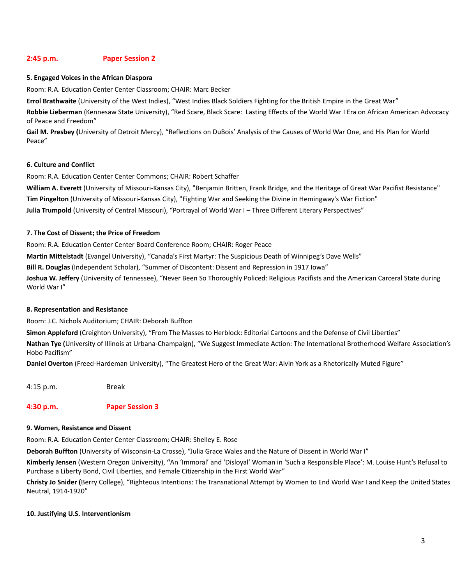# **2:45 p.m. Paper Session 2**

#### **5. Engaged Voices in the African Diaspora**

Room: R.A. Education Center Center Classroom; CHAIR: Marc Becker

**Errol Brathwaite** (University of the West Indies), "West Indies Black Soldiers Fighting for the British Empire in the Great War"

**Robbie Lieberman** (Kennesaw State University), "Red Scare, Black Scare: Lasting Effects of the World War I Era on African American Advocacy of Peace and Freedom"

**Gail M. Presbey (**University of Detroit Mercy), "Reflections on DuBois' Analysis of the Causes of World War One, and His Plan for World Peace"

#### **6. Culture and Conflict**

Room: R.A. Education Center Center Commons; CHAIR: Robert Schaffer

**William A. Everett** (University of Missouri-Kansas City), "Benjamin Britten, Frank Bridge, and the Heritage of Great War Pacifist Resistance" **Tim Pingelton** (University of Missouri-Kansas City), "Fighting War and Seeking the Divine in Hemingway's War Fiction" **Julia Trumpold** (University of Central Missouri), "Portrayal of World War I – Three Different Literary Perspectives"

#### **7. The Cost of Dissent; the Price of Freedom**

Room: R.A. Education Center Center Board Conference Room; CHAIR: Roger Peace

**Martin Mittelstadt** (Evangel University), "Canada's First Martyr: The Suspicious Death of Winnipeg's Dave Wells"

**Bill R. Douglas** (Independent Scholar), "Summer of Discontent: Dissent and Repression in 1917 Iowa"

**Joshua W. Jeffery** (University of Tennessee), "Never Been So Thoroughly Policed: Religious Pacifists and the American Carceral State during World War I"

# **8. Representation and Resistance**

Room: J.C. Nichols Auditorium; CHAIR: Deborah Buffton

**Simon Appleford** (Creighton University), "From The Masses to Herblock: Editorial Cartoons and the Defense of Civil Liberties"

**Nathan Tye (**University of Illinois at Urbana-Champaign), "We Suggest Immediate Action: The International Brotherhood Welfare Association's Hobo Pacifism"

**Daniel Overton** (Freed-Hardeman University), "The Greatest Hero of the Great War: Alvin York as a Rhetorically Muted Figure"

4:15 p.m. Break

# **4:30 p.m. Paper Session 3**

# **9. Women, Resistance and Dissent**

Room: R.A. Education Center Center Classroom; CHAIR: Shelley E. Rose

**Deborah Buffton** (University of Wisconsin-La Crosse), "Julia Grace Wales and the Nature of Dissent in World War I"

**Kimberly Jensen** (Western Oregon University), **"**An 'Immoral' and 'Disloyal' Woman in 'Such a Responsible Place': M. Louise Hunt's Refusal to Purchase a Liberty Bond, Civil Liberties, and Female Citizenship in the First World War"

**Christy Jo Snider (**Berry College), "Righteous Intentions: The Transnational Attempt by Women to End World War I and Keep the United States Neutral, 1914-1920"

# **10. Justifying U.S. Interventionism**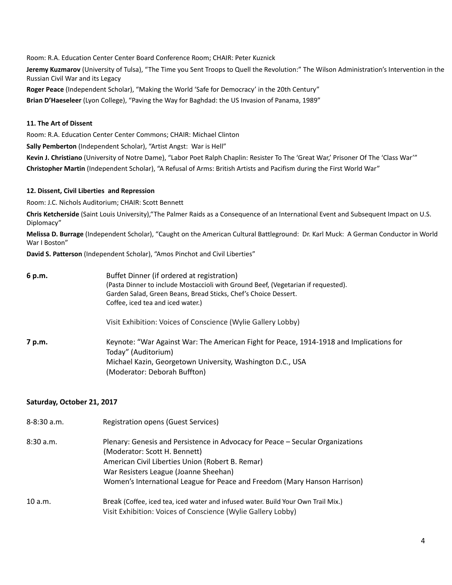Room: R.A. Education Center Center Board Conference Room; CHAIR: Peter Kuznick

**Jeremy Kuzmarov** (University of Tulsa), "The Time you Sent Troops to Quell the Revolution:" The Wilson Administration's Intervention in the Russian Civil War and its Legacy

**Roger Peace** (Independent Scholar), "Making the World 'Safe for Democracy' in the 20th Century" **Brian D'Haeseleer** (Lyon College), "Paving the Way for Baghdad: the US Invasion of Panama, 1989"

#### **11. The Art of Dissent**

Room: R.A. Education Center Center Commons; CHAIR: Michael Clinton

**Sally Pemberton** (Independent Scholar), "Artist Angst: War is Hell"

**Kevin J. Christiano** (University of Notre Dame), "Labor Poet Ralph Chaplin: Resister To The 'Great War,' Prisoner Of The 'Class War'" **Christopher Martin** (Independent Scholar), "A Refusal of Arms: British Artists and Pacifism during the First World War"

#### **12. Dissent, Civil Liberties and Repression**

Room: J.C. Nichols Auditorium; CHAIR: Scott Bennett

**Chris Ketcherside** (Saint Louis University),"The Palmer Raids as a Consequence of an International Event and Subsequent Impact on U.S. Diplomacy"

**Melissa D. Burrage** (Independent Scholar), "Caught on the American Cultural Battleground: Dr. Karl Muck: A German Conductor in World War I Boston"

**David S. Patterson** (Independent Scholar), "Amos Pinchot and Civil Liberties"

| 6 p.m. | Buffet Dinner (if ordered at registration)                                              |
|--------|-----------------------------------------------------------------------------------------|
|        | (Pasta Dinner to include Mostaccioli with Ground Beef, (Vegetarian if requested).       |
|        | Garden Salad, Green Beans, Bread Sticks, Chef's Choice Dessert.                         |
|        | Coffee, iced tea and iced water.)                                                       |
|        | Visit Exhibition: Voices of Conscience (Wylie Gallery Lobby)                            |
| 7 p.m. | Keynote: "War Against War: The American Fight for Peace, 1914-1918 and Implications for |
|        | Today" (Auditorium)                                                                     |
|        | Michael Kazin, Georgetown University, Washington D.C., USA                              |
|        | (Moderator: Deborah Buffton)                                                            |

# **Saturday, October 21, 2017**

| $8 - 8:30$ a.m. | Registration opens (Guest Services)                                                                                                                                                                                                                                                       |
|-----------------|-------------------------------------------------------------------------------------------------------------------------------------------------------------------------------------------------------------------------------------------------------------------------------------------|
| 8:30a.m.        | Plenary: Genesis and Persistence in Advocacy for Peace – Secular Organizations<br>(Moderator: Scott H. Bennett)<br>American Civil Liberties Union (Robert B. Remar)<br>War Resisters League (Joanne Sheehan)<br>Women's International League for Peace and Freedom (Mary Hanson Harrison) |
| 10 a.m.         | Break (Coffee, iced tea, iced water and infused water. Build Your Own Trail Mix.)<br>Visit Exhibition: Voices of Conscience (Wylie Gallery Lobby)                                                                                                                                         |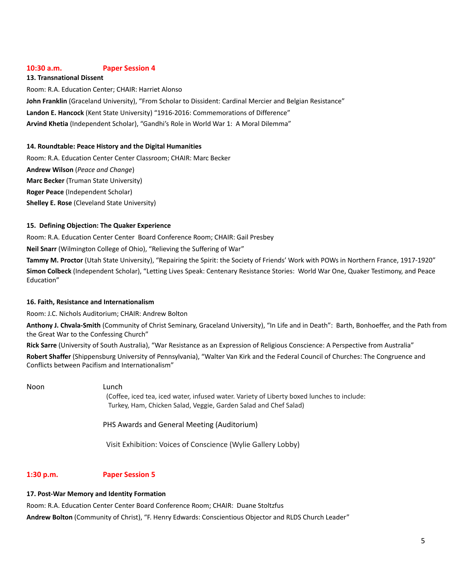# **10:30 a.m. Paper Session 4**

#### **13. Transnational Dissent**

Room: R.A. Education Center; CHAIR: Harriet Alonso **John Franklin** (Graceland University), "From Scholar to Dissident: Cardinal Mercier and Belgian Resistance" **Landon E. Hancock** (Kent State University) "1916-2016: Commemorations of Difference" **Arvind Khetia** (Independent Scholar), "Gandhi's Role in World War 1: A Moral Dilemma"

#### **14. Roundtable: Peace History and the Digital Humanities**

Room: R.A. Education Center Center Classroom; CHAIR: Marc Becker **Andrew Wilson** (*Peace and Change*) **Marc Becker** (Truman State University) **Roger Peace** (Independent Scholar) **Shelley E. Rose** (Cleveland State University)

#### **15. Defining Objection: The Quaker Experience**

Room: R.A. Education Center Center Board Conference Room; CHAIR: Gail Presbey

**Neil Snarr** (Wilmington College of Ohio), "Relieving the Suffering of War"

**Tammy M. Proctor** (Utah State University), "Repairing the Spirit: the Society of Friends' Work with POWs in Northern France, 1917-1920" **Simon Colbeck** (Independent Scholar), "Letting Lives Speak: Centenary Resistance Stories: World War One, Quaker Testimony, and Peace Education"

# **16. Faith, Resistance and Internationalism**

Room: J.C. Nichols Auditorium; CHAIR: Andrew Bolton

**Anthony J. Chvala-Smith** (Community of Christ Seminary, Graceland University), "In Life and in Death": Barth, Bonhoeffer, and the Path from the Great War to the Confessing Church"

**Rick Sarre** (University of South Australia), "War Resistance as an Expression of Religious Conscience: A Perspective from Australia" **Robert Shaffer** (Shippensburg University of Pennsylvania), "Walter Van Kirk and the Federal Council of Churches: The Congruence and Conflicts between Pacifism and Internationalism"

Noon Lunch

(Coffee, iced tea, iced water, infused water. Variety of Liberty boxed lunches to include: Turkey, Ham, Chicken Salad, Veggie, Garden Salad and Chef Salad)

PHS Awards and General Meeting (Auditorium)

Visit Exhibition: Voices of Conscience (Wylie Gallery Lobby)

# **1:30 p.m. Paper Session 5**

# **17. Post-War Memory and Identity Formation**

Room: R.A. Education Center Center Board Conference Room; CHAIR: Duane Stoltzfus

**Andrew Bolton** (Community of Christ), "F. Henry Edwards: Conscientious Objector and RLDS Church Leader"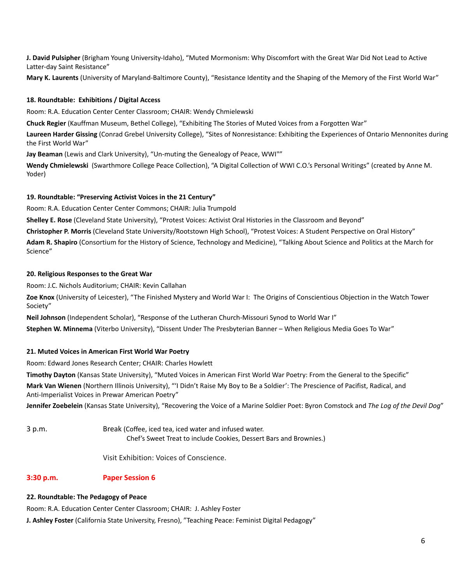**J. David Pulsipher** (Brigham Young University-Idaho), "Muted Mormonism: Why Discomfort with the Great War Did Not Lead to Active Latter-day Saint Resistance"

**Mary K. Laurents** (University of Maryland-Baltimore County), "Resistance Identity and the Shaping of the Memory of the First World War"

# **18. Roundtable: Exhibitions / Digital Access**

Room: R.A. Education Center Center Classroom; CHAIR: Wendy Chmielewski

**Chuck Regier** (Kauffman Museum, Bethel College), "Exhibiting The Stories of Muted Voices from a Forgotten War"

**Laureen Harder Gissing** (Conrad Grebel University College), "Sites of Nonresistance: Exhibiting the Experiences of Ontario Mennonites during the First World War"

**Jay Beaman** (Lewis and Clark University), "Un-muting the Genealogy of Peace, WWI""

**Wendy Chmielewski** (Swarthmore College Peace Collection), "A Digital Collection of WWI C.O.'s Personal Writings" (created by Anne M. Yoder)

# **19. Roundtable: "Preserving Activist Voices in the 21 Century"**

Room: R.A. Education Center Center Commons; CHAIR: Julia Trumpold

**Shelley E. Rose** (Cleveland State University), "Protest Voices: Activist Oral Histories in the Classroom and Beyond"

**Christopher P. Morris** (Cleveland State University/Rootstown High School), "Protest Voices: A Student Perspective on Oral History" **Adam R. Shapiro** (Consortium for the History of Science, Technology and Medicine), "Talking About Science and Politics at the March for

Science"

# **20. Religious Responses to the Great War**

Room: J.C. Nichols Auditorium; CHAIR: Kevin Callahan

**Zoe Knox** (University of Leicester), "The Finished Mystery and World War I: The Origins of Conscientious Objection in the Watch Tower Society"

**Neil Johnson** (Independent Scholar), "Response of the Lutheran Church-Missouri Synod to World War I"

**Stephen W. Minnema** (Viterbo University), "Dissent Under The Presbyterian Banner – When Religious Media Goes To War"

# **21. Muted Voices in American First World War Poetry**

Room: Edward Jones Research Center; CHAIR: Charles Howlett

**Timothy Dayton** (Kansas State University), "Muted Voices in American First World War Poetry: From the General to the Specific"

**Mark Van Wienen** (Northern Illinois University), "'I Didn't Raise My Boy to Be a Soldier': The Prescience of Pacifist, Radical, and Anti-Imperialist Voices in Prewar American Poetry"

**Jennifer Zoebelein** (Kansas State University), "Recovering the Voice of a Marine Soldier Poet: Byron Comstock and *The Log of the Devil Dog*"

3 p.m. Break (Coffee, iced tea, iced water and infused water. Chef's Sweet Treat to include Cookies, Dessert Bars and Brownies.)

Visit Exhibition: Voices of Conscience.

# **3:30 p.m. Paper Session 6**

# **22. Roundtable: The Pedagogy of Peace**

Room: R.A. Education Center Center Classroom; CHAIR: J. Ashley Foster

**J. Ashley Foster** (California State University, Fresno), "Teaching Peace: Feminist Digital Pedagogy"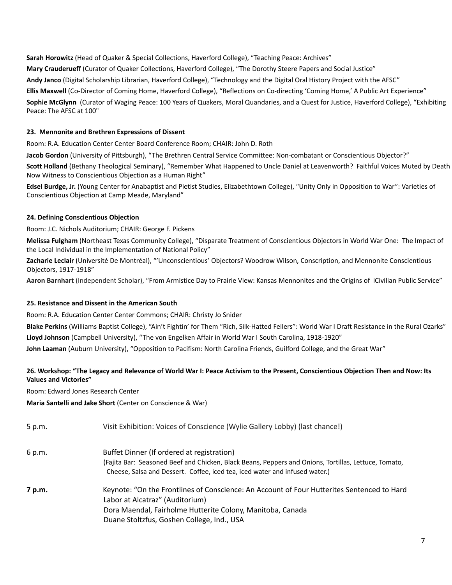**Sarah Horowitz** (Head of Quaker & Special Collections, Haverford College), "Teaching Peace: Archives" **Mary Crauderueff** (Curator of Quaker Collections, Haverford College), "The Dorothy Steere Papers and Social Justice" **Andy Janco** (Digital Scholarship Librarian, Haverford College), "Technology and the Digital Oral History Project with the AFSC" **Ellis Maxwell** (Co-Director of Coming Home, Haverford College), "Reflections on Co-directing 'Coming Home,' A Public Art Experience" **Sophie McGlynn** (Curator of Waging Peace: 100 Years of Quakers, Moral Quandaries, and a Quest for Justice, Haverford College), "Exhibiting Peace: The AFSC at 100"

# **23. Mennonite and Brethren Expressions of Dissent**

Room: R.A. Education Center Center Board Conference Room; CHAIR: John D. Roth

**Jacob Gordon** (University of Pittsburgh), "The Brethren Central Service Committee: Non-combatant or Conscientious Objector?"

**Scott Holland** (Bethany Theological Seminary), "Remember What Happened to Uncle Daniel at Leavenworth? Faithful Voices Muted by Death Now Witness to Conscientious Objection as a Human Right"

**Edsel Burdge, Jr.** (Young Center for Anabaptist and Pietist Studies, Elizabethtown College), "Unity Only in Opposition to War": Varieties of Conscientious Objection at Camp Meade, Maryland"

# **24. Defining Conscientious Objection**

Room: J.C. Nichols Auditorium; CHAIR: George F. Pickens

**Melissa Fulgham** (Northeast Texas Community College), "Disparate Treatment of Conscientious Objectors in World War One: The Impact of the Local Individual in the Implementation of National Policy"

**Zacharie Leclair** (Université De Montréal), "'Unconscientious' Objectors? Woodrow Wilson, Conscription, and Mennonite Conscientious Objectors, 1917-1918"

**Aaron Barnhart** (Independent Scholar), "From Armistice Day to Prairie View: Kansas Mennonites and the Origins of iCivilian Public Service"

# **25. Resistance and Dissent in the American South**

Room: R.A. Education Center Center Commons; CHAIR: Christy Jo Snider

**Blake Perkins** (Williams Baptist College), "Ain't Fightin' for Them "Rich, Silk-Hatted Fellers": World War I Draft Resistance in the Rural Ozarks" **Lloyd Johnson** (Campbell University), "The von Engelken Affair in World War I South Carolina, 1918-1920" **John Laaman** (Auburn University), "Opposition to Pacifism: North Carolina Friends, Guilford College, and the Great War"

# 26. Workshop: "The Legacy and Relevance of World War I: Peace Activism to the Present, Conscientious Objection Then and Now: Its **Values and Victories"**

Room: Edward Jones Research Center

**Maria Santelli and Jake Short** (Center on Conscience & War)

| 5 p.m. | Visit Exhibition: Voices of Conscience (Wylie Gallery Lobby) (last chance!)                                                                                                         |
|--------|-------------------------------------------------------------------------------------------------------------------------------------------------------------------------------------|
| 6 p.m. | Buffet Dinner (If ordered at registration)                                                                                                                                          |
|        | (Fajita Bar: Seasoned Beef and Chicken, Black Beans, Peppers and Onions, Tortillas, Lettuce, Tomato,<br>Cheese, Salsa and Dessert. Coffee, iced tea, iced water and infused water.) |
| 7 p.m. | Keynote: "On the Frontlines of Conscience: An Account of Four Hutterites Sentenced to Hard<br>Labor at Alcatraz" (Auditorium)                                                       |
|        | Dora Maendal, Fairholme Hutterite Colony, Manitoba, Canada                                                                                                                          |
|        | Duane Stoltzfus, Goshen College, Ind., USA                                                                                                                                          |